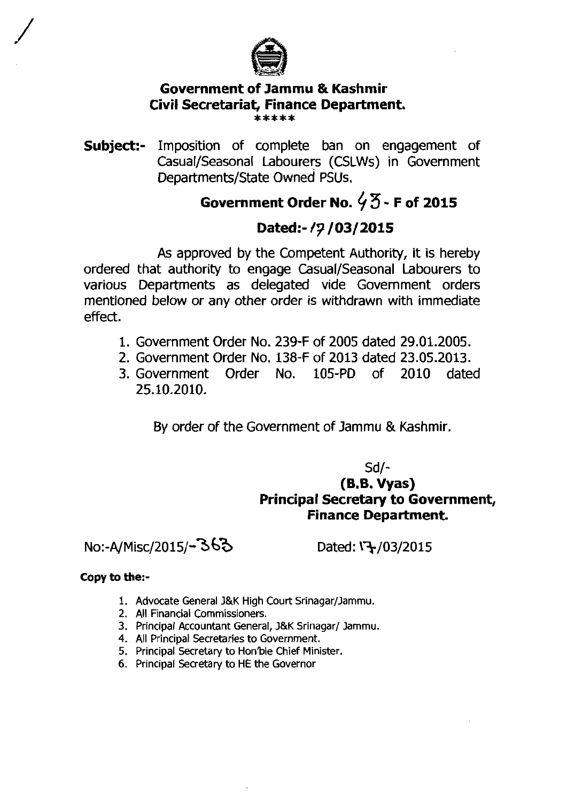

# **Government of Jammu** & **Kashmir Civil Secretariat, Finance Department.** \*\*\*\*\*

**Subject:-** Imposition of complete ban on engagement of Casual/Seasonal Labourers (CSLWs) in Government Departments/State owned PSUs.

## **Government Order No.** *4* **3** - **F of 2015**

### Dated:-/7/03/2015

As approved by the Competent Authority, it is hereby ordered that authority to engage Casual/Seasonal Labourers to various Departments as delegated vide Government orders mentioned below or any other order is withdrawn with immediate effect.

- 1. Government Order No. 239-F of 2005 dated 29.01.2005.
- 2. Government Order No. 138-F of 2013 dated 23.05.2013.
- 3. Government Order No. 105-PD of 2010 dated 25.10.2010.

By order of the Government of Jammu & Kashmir.

### Sd/- (B.B. **Vyas) Principal Secretary to Government, Finance Department.**

No:-A/Misc/2015/-363 Dated:  $\sqrt{3}/03/2015$ 

#### **Copy to the:-**

- 1. Advocate General J&K High Court Srinagar/Jammu.
- 2. All Financial Commissioners.
- 3. Principal Accountant General, J&K Srinagar/ Jammu.
- 4. All Principal Secretaries to Government.
- 5. Principal Secretary to Hon'ble Chief Minister.
- 6. Principal Secretary to HE the Governor